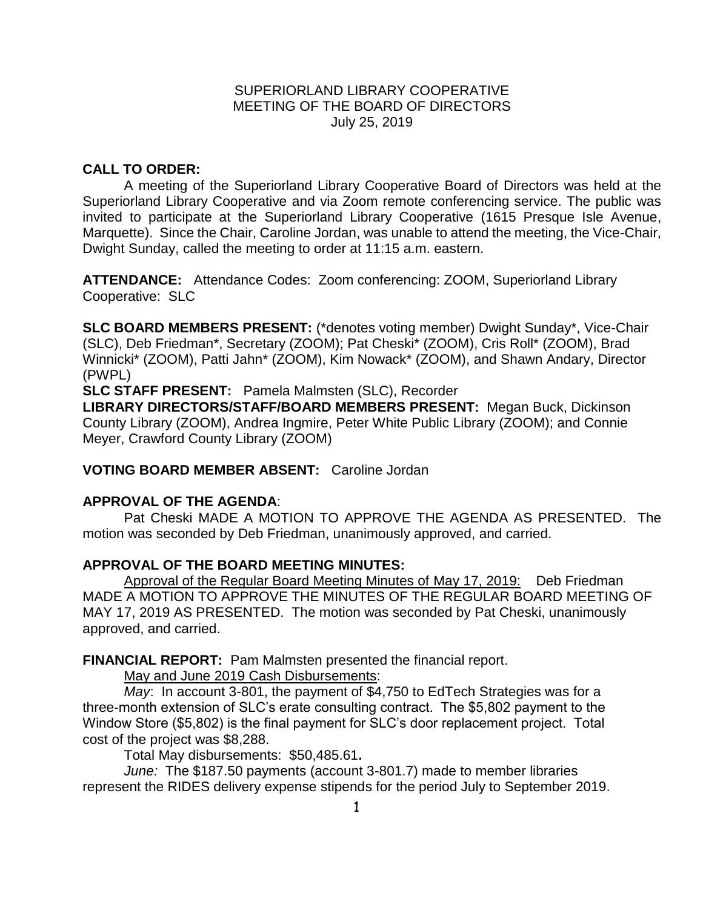### SUPERIORLAND LIBRARY COOPERATIVE MEETING OF THE BOARD OF DIRECTORS July 25, 2019

# **CALL TO ORDER:**

A meeting of the Superiorland Library Cooperative Board of Directors was held at the Superiorland Library Cooperative and via Zoom remote conferencing service. The public was invited to participate at the Superiorland Library Cooperative (1615 Presque Isle Avenue, Marquette). Since the Chair, Caroline Jordan, was unable to attend the meeting, the Vice-Chair, Dwight Sunday, called the meeting to order at 11:15 a.m. eastern.

**ATTENDANCE:** Attendance Codes: Zoom conferencing: ZOOM, Superiorland Library Cooperative: SLC

**SLC BOARD MEMBERS PRESENT:** (\*denotes voting member) Dwight Sunday\*, Vice-Chair (SLC), Deb Friedman\*, Secretary (ZOOM); Pat Cheski\* (ZOOM), Cris Roll\* (ZOOM), Brad Winnicki\* (ZOOM), Patti Jahn\* (ZOOM), Kim Nowack\* (ZOOM), and Shawn Andary, Director (PWPL)

**SLC STAFF PRESENT:** Pamela Malmsten (SLC), Recorder

**LIBRARY DIRECTORS/STAFF/BOARD MEMBERS PRESENT:** Megan Buck, Dickinson County Library (ZOOM), Andrea Ingmire, Peter White Public Library (ZOOM); and Connie Meyer, Crawford County Library (ZOOM)

**VOTING BOARD MEMBER ABSENT:** Caroline Jordan

# **APPROVAL OF THE AGENDA**:

Pat Cheski MADE A MOTION TO APPROVE THE AGENDA AS PRESENTED. The motion was seconded by Deb Friedman, unanimously approved, and carried.

# **APPROVAL OF THE BOARD MEETING MINUTES:**

Approval of the Regular Board Meeting Minutes of May 17, 2019: Deb Friedman MADE A MOTION TO APPROVE THE MINUTES OF THE REGULAR BOARD MEETING OF MAY 17, 2019 AS PRESENTED.The motion was seconded by Pat Cheski, unanimously approved, and carried.

**FINANCIAL REPORT:** Pam Malmsten presented the financial report.

May and June 2019 Cash Disbursements:

*May*: In account 3-801, the payment of \$4,750 to EdTech Strategies was for a three-month extension of SLC's erate consulting contract. The \$5,802 payment to the Window Store (\$5,802) is the final payment for SLC's door replacement project. Total cost of the project was \$8,288.

Total May disbursements: \$50,485.61**.** 

*June:* The \$187.50 payments (account 3-801.7) made to member libraries represent the RIDES delivery expense stipends for the period July to September 2019.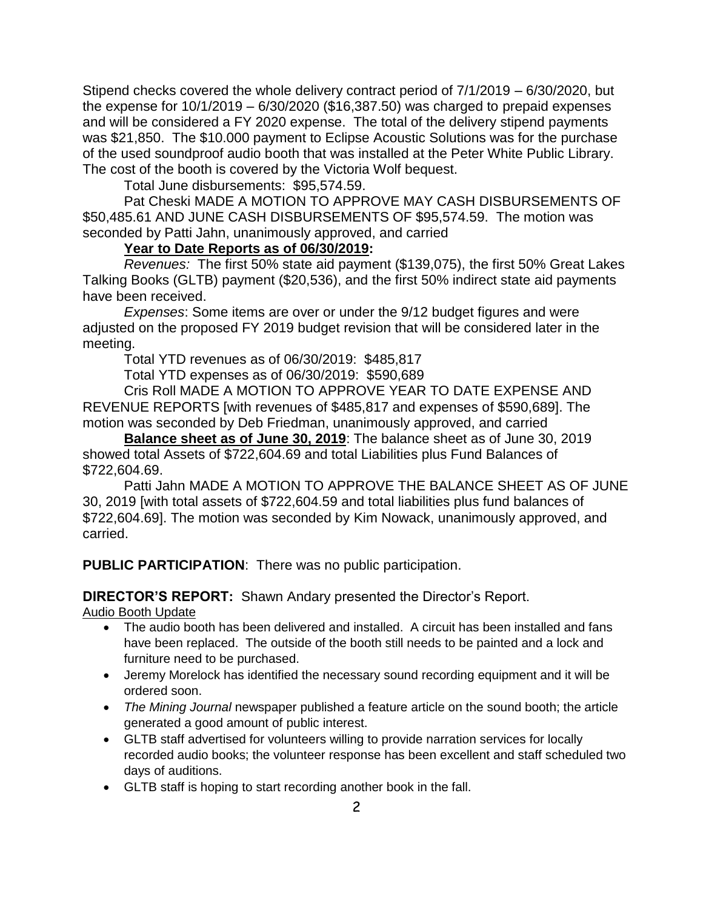Stipend checks covered the whole delivery contract period of 7/1/2019 – 6/30/2020, but the expense for  $10/1/2019 - 6/30/2020$  (\$16,387.50) was charged to prepaid expenses and will be considered a FY 2020 expense. The total of the delivery stipend payments was \$21,850. The \$10.000 payment to Eclipse Acoustic Solutions was for the purchase of the used soundproof audio booth that was installed at the Peter White Public Library. The cost of the booth is covered by the Victoria Wolf bequest.

Total June disbursements: \$95,574.59.

Pat Cheski MADE A MOTION TO APPROVE MAY CASH DISBURSEMENTS OF \$50,485.61 AND JUNE CASH DISBURSEMENTS OF \$95,574.59. The motion was seconded by Patti Jahn, unanimously approved, and carried

# **Year to Date Reports as of 06/30/2019:**

*Revenues:* The first 50% state aid payment (\$139,075), the first 50% Great Lakes Talking Books (GLTB) payment (\$20,536), and the first 50% indirect state aid payments have been received.

*Expenses*: Some items are over or under the 9/12 budget figures and were adjusted on the proposed FY 2019 budget revision that will be considered later in the meeting.

Total YTD revenues as of 06/30/2019: \$485,817

Total YTD expenses as of 06/30/2019: \$590,689

Cris Roll MADE A MOTION TO APPROVE YEAR TO DATE EXPENSE AND REVENUE REPORTS [with revenues of \$485,817 and expenses of \$590,689]. The motion was seconded by Deb Friedman, unanimously approved, and carried

**Balance sheet as of June 30, 2019**: The balance sheet as of June 30, 2019 showed total Assets of \$722,604.69 and total Liabilities plus Fund Balances of \$722,604.69.

Patti Jahn MADE A MOTION TO APPROVE THE BALANCE SHEET AS OF JUNE 30, 2019 [with total assets of \$722,604.59 and total liabilities plus fund balances of \$722,604.69]. The motion was seconded by Kim Nowack, unanimously approved, and carried.

**PUBLIC PARTICIPATION**: There was no public participation.

**DIRECTOR'S REPORT:** Shawn Andary presented the Director's Report.

Audio Booth Update

- The audio booth has been delivered and installed. A circuit has been installed and fans have been replaced. The outside of the booth still needs to be painted and a lock and furniture need to be purchased.
- Jeremy Morelock has identified the necessary sound recording equipment and it will be ordered soon.
- *The Mining Journal* newspaper published a feature article on the sound booth; the article generated a good amount of public interest.
- GLTB staff advertised for volunteers willing to provide narration services for locally recorded audio books; the volunteer response has been excellent and staff scheduled two days of auditions.
- GLTB staff is hoping to start recording another book in the fall.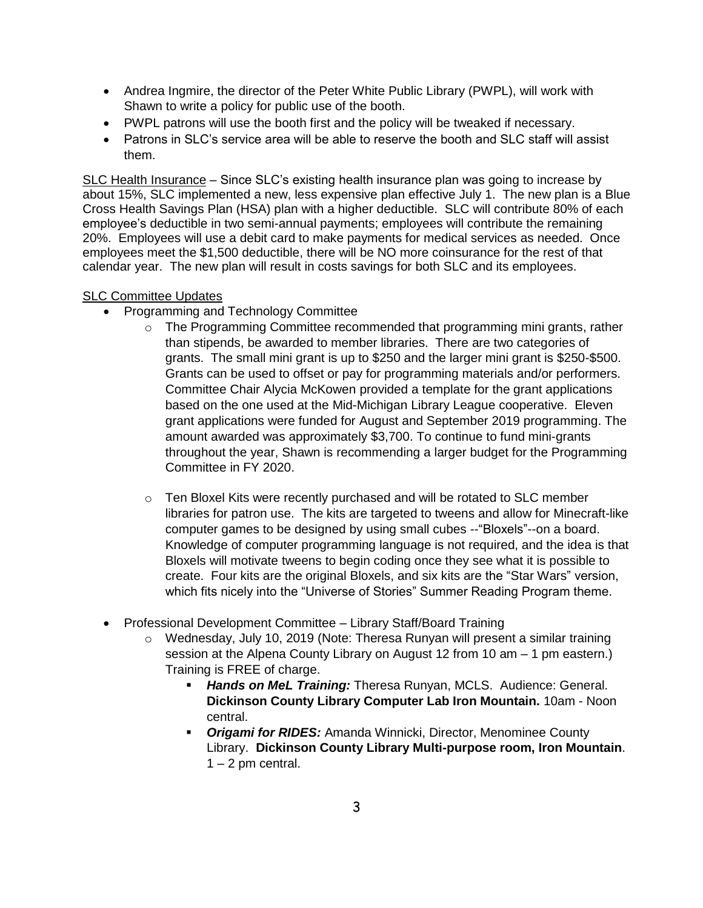- Andrea Ingmire, the director of the Peter White Public Library (PWPL), will work with Shawn to write a policy for public use of the booth.
- PWPL patrons will use the booth first and the policy will be tweaked if necessary.
- Patrons in SLC's service area will be able to reserve the booth and SLC staff will assist them.

SLC Health Insurance – Since SLC's existing health insurance plan was going to increase by about 15%, SLC implemented a new, less expensive plan effective July 1. The new plan is a Blue Cross Health Savings Plan (HSA) plan with a higher deductible. SLC will contribute 80% of each employee's deductible in two semi-annual payments; employees will contribute the remaining 20%. Employees will use a debit card to make payments for medical services as needed. Once employees meet the \$1,500 deductible, there will be NO more coinsurance for the rest of that calendar year. The new plan will result in costs savings for both SLC and its employees.

### SLC Committee Updates

- Programming and Technology Committee
	- $\circ$  The Programming Committee recommended that programming mini grants, rather than stipends, be awarded to member libraries. There are two categories of grants. The small mini grant is up to \$250 and the larger mini grant is \$250-\$500. Grants can be used to offset or pay for programming materials and/or performers. Committee Chair Alycia McKowen provided a template for the grant applications based on the one used at the Mid-Michigan Library League cooperative. Eleven grant applications were funded for August and September 2019 programming. The amount awarded was approximately \$3,700. To continue to fund mini-grants throughout the year, Shawn is recommending a larger budget for the Programming Committee in FY 2020.
	- o Ten Bloxel Kits were recently purchased and will be rotated to SLC member libraries for patron use. The kits are targeted to tweens and allow for Minecraft-like computer games to be designed by using small cubes --"Bloxels"--on a board. Knowledge of computer programming language is not required, and the idea is that Bloxels will motivate tweens to begin coding once they see what it is possible to create. Four kits are the original Bloxels, and six kits are the "Star Wars" version, which fits nicely into the "Universe of Stories" Summer Reading Program theme.
- Professional Development Committee Library Staff/Board Training
	- o Wednesday, July 10, 2019 (Note: Theresa Runyan will present a similar training session at the Alpena County Library on August 12 from 10 am – 1 pm eastern.) Training is FREE of charge.
		- *Hands on MeL Training:* Theresa Runyan, MCLS. Audience: General. **Dickinson County Library Computer Lab Iron Mountain.** 10am - Noon central.
		- *Origami for RIDES:* Amanda Winnicki, Director, Menominee County Library. **Dickinson County Library Multi-purpose room, Iron Mountain**.  $1 - 2$  pm central.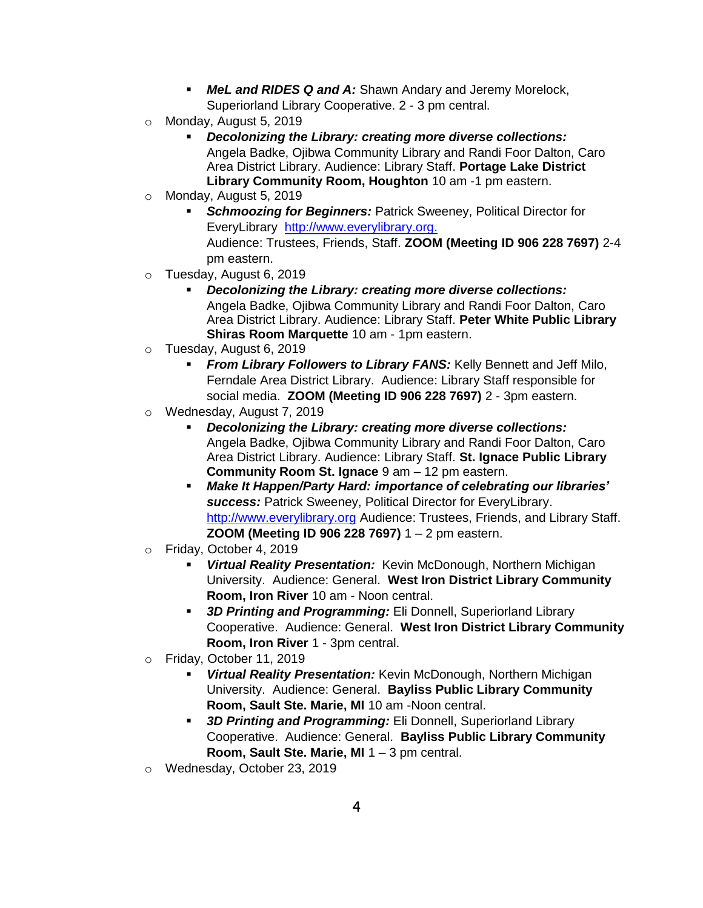- *MeL and RIDES Q and A:* Shawn Andary and Jeremy Morelock, Superiorland Library Cooperative. 2 - 3 pm central.
- o Monday, August 5, 2019
	- *Decolonizing the Library: creating more diverse collections:* Angela Badke, Ojibwa Community Library and Randi Foor Dalton, Caro Area District Library. Audience: Library Staff. **Portage Lake District Library Community Room, Houghton** 10 am -1 pm eastern.
- o Monday, August 5, 2019
	- **Schmoozing for Beginners: Patrick Sweeney, Political Director for** EveryLibrary [http://www.everylibrary.org.](http://www.everylibrary.org/) Audience: Trustees, Friends, Staff. **ZOOM (Meeting ID 906 228 7697)** 2-4 pm eastern.
- o Tuesday, August 6, 2019
	- *Decolonizing the Library: creating more diverse collections:* Angela Badke, Ojibwa Community Library and Randi Foor Dalton, Caro Area District Library. Audience: Library Staff. **Peter White Public Library Shiras Room Marquette** 10 am - 1pm eastern.
- o Tuesday, August 6, 2019
	- **From Library Followers to Library FANS:** Kelly Bennett and Jeff Milo, Ferndale Area District Library. Audience: Library Staff responsible for social media. **ZOOM (Meeting ID 906 228 7697)** 2 - 3pm eastern.
- o Wednesday, August 7, 2019
	- *Decolonizing the Library: creating more diverse collections:* Angela Badke, Ojibwa Community Library and Randi Foor Dalton, Caro Area District Library. Audience: Library Staff. **St. Ignace Public Library Community Room St. Ignace** 9 am – 12 pm eastern.
	- *Make It Happen/Party Hard: importance of celebrating our libraries' success:* Patrick Sweeney, Political Director for EveryLibrary. [http://www.everylibrary.org](http://www.everylibrary.org/) Audience: Trustees, Friends, and Library Staff. **ZOOM (Meeting ID 906 228 7697)** 1 – 2 pm eastern.
- o Friday, October 4, 2019
	- *Virtual Reality Presentation:* Kevin McDonough, Northern Michigan University. Audience: General. **West Iron District Library Community Room, Iron River** 10 am - Noon central.
	- *3D Printing and Programming:* Eli Donnell, Superiorland Library Cooperative. Audience: General. **West Iron District Library Community Room, Iron River** 1 - 3pm central.
- o Friday, October 11, 2019
	- *Virtual Reality Presentation:* Kevin McDonough, Northern Michigan University. Audience: General. **Bayliss Public Library Community Room, Sault Ste. Marie, MI** 10 am -Noon central.
	- *3D Printing and Programming:* Eli Donnell, Superiorland Library Cooperative. Audience: General. **Bayliss Public Library Community Room, Sault Ste. Marie, MI** 1 – 3 pm central.
- o Wednesday, October 23, 2019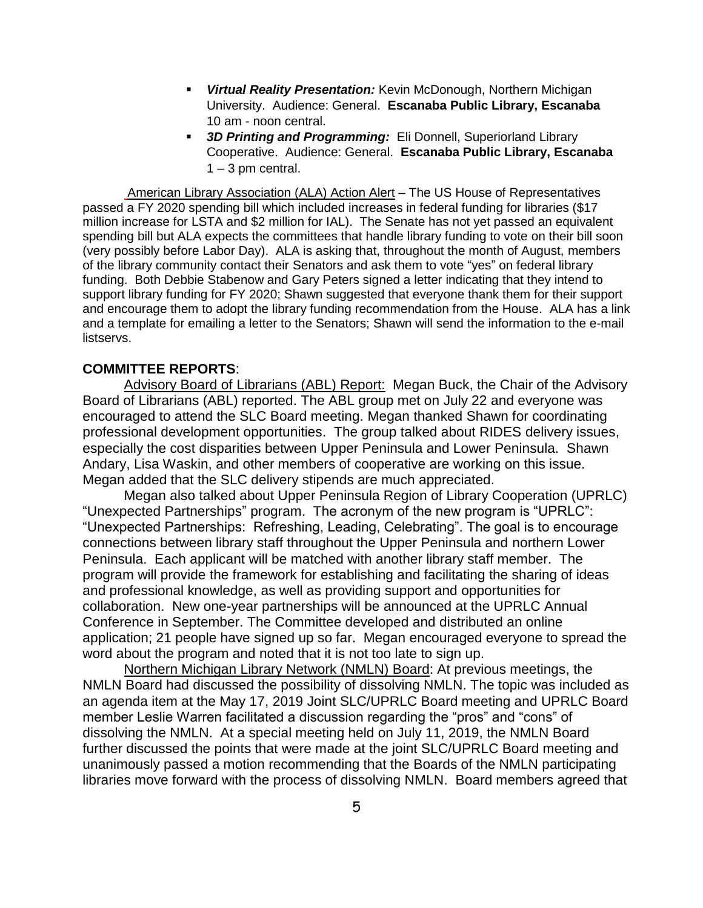- *Virtual Reality Presentation:* Kevin McDonough, Northern Michigan University. Audience: General. **Escanaba Public Library, Escanaba**  10 am - noon central.
- *3D Printing and Programming:* Eli Donnell, Superiorland Library Cooperative. Audience: General. **Escanaba Public Library, Escanaba**   $1 - 3$  pm central.

American Library Association (ALA) Action Alert – The US House of Representatives passed a FY 2020 spending bill which included increases in federal funding for libraries (\$17 million increase for LSTA and \$2 million for IAL). The Senate has not yet passed an equivalent spending bill but ALA expects the committees that handle library funding to vote on their bill soon (very possibly before Labor Day). ALA is asking that, throughout the month of August, members of the library community contact their Senators and ask them to vote "yes" on federal library funding. Both Debbie Stabenow and Gary Peters signed a letter indicating that they intend to support library funding for FY 2020; Shawn suggested that everyone thank them for their support and encourage them to adopt the library funding recommendation from the House. ALA has a link and a template for emailing a letter to the Senators; Shawn will send the information to the e-mail listservs.

### **COMMITTEE REPORTS**:

Advisory Board of Librarians (ABL) Report: Megan Buck, the Chair of the Advisory Board of Librarians (ABL) reported. The ABL group met on July 22 and everyone was encouraged to attend the SLC Board meeting. Megan thanked Shawn for coordinating professional development opportunities. The group talked about RIDES delivery issues, especially the cost disparities between Upper Peninsula and Lower Peninsula. Shawn Andary, Lisa Waskin, and other members of cooperative are working on this issue. Megan added that the SLC delivery stipends are much appreciated.

Megan also talked about Upper Peninsula Region of Library Cooperation (UPRLC) "Unexpected Partnerships" program. The acronym of the new program is "UPRLC": "Unexpected Partnerships: Refreshing, Leading, Celebrating". The goal is to encourage connections between library staff throughout the Upper Peninsula and northern Lower Peninsula. Each applicant will be matched with another library staff member. The program will provide the framework for establishing and facilitating the sharing of ideas and professional knowledge, as well as providing support and opportunities for collaboration. New one-year partnerships will be announced at the UPRLC Annual Conference in September. The Committee developed and distributed an online application; 21 people have signed up so far. Megan encouraged everyone to spread the word about the program and noted that it is not too late to sign up.

Northern Michigan Library Network (NMLN) Board: At previous meetings, the NMLN Board had discussed the possibility of dissolving NMLN. The topic was included as an agenda item at the May 17, 2019 Joint SLC/UPRLC Board meeting and UPRLC Board member Leslie Warren facilitated a discussion regarding the "pros" and "cons" of dissolving the NMLN. At a special meeting held on July 11, 2019, the NMLN Board further discussed the points that were made at the joint SLC/UPRLC Board meeting and unanimously passed a motion recommending that the Boards of the NMLN participating libraries move forward with the process of dissolving NMLN. Board members agreed that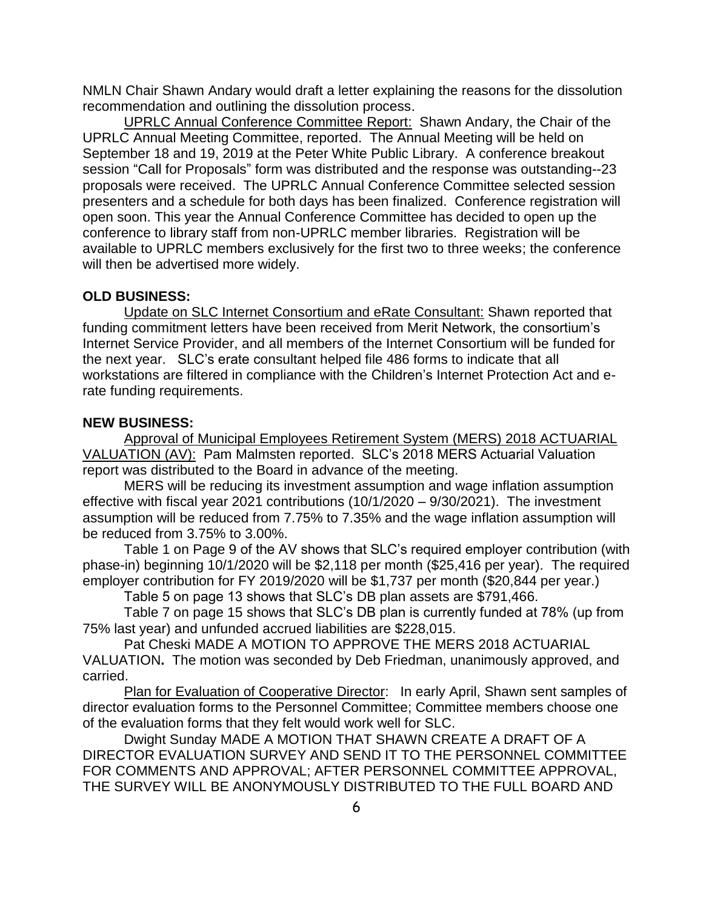NMLN Chair Shawn Andary would draft a letter explaining the reasons for the dissolution recommendation and outlining the dissolution process.

UPRLC Annual Conference Committee Report: Shawn Andary, the Chair of the UPRLC Annual Meeting Committee, reported. The Annual Meeting will be held on September 18 and 19, 2019 at the Peter White Public Library. A conference breakout session "Call for Proposals" form was distributed and the response was outstanding--23 proposals were received. The UPRLC Annual Conference Committee selected session presenters and a schedule for both days has been finalized. Conference registration will open soon. This year the Annual Conference Committee has decided to open up the conference to library staff from non-UPRLC member libraries. Registration will be available to UPRLC members exclusively for the first two to three weeks; the conference will then be advertised more widely.

### **OLD BUSINESS:**

Update on SLC Internet Consortium and eRate Consultant: Shawn reported that funding commitment letters have been received from Merit Network, the consortium's Internet Service Provider, and all members of the Internet Consortium will be funded for the next year. SLC's erate consultant helped file 486 forms to indicate that all workstations are filtered in compliance with the Children's Internet Protection Act and erate funding requirements.

### **NEW BUSINESS:**

Approval of Municipal Employees Retirement System (MERS) 2018 ACTUARIAL VALUATION (AV): Pam Malmsten reported. SLC's 2018 MERS Actuarial Valuation report was distributed to the Board in advance of the meeting.

MERS will be reducing its investment assumption and wage inflation assumption effective with fiscal year 2021 contributions  $(10/1/2020 - 9/30/2021)$ . The investment assumption will be reduced from 7.75% to 7.35% and the wage inflation assumption will be reduced from 3.75% to 3.00%.

Table 1 on Page 9 of the AV shows that SLC's required employer contribution (with phase-in) beginning 10/1/2020 will be \$2,118 per month (\$25,416 per year). The required employer contribution for FY 2019/2020 will be \$1,737 per month (\$20,844 per year.)

Table 5 on page 13 shows that SLC's DB plan assets are \$791,466.

Table 7 on page 15 shows that SLC's DB plan is currently funded at 78% (up from 75% last year) and unfunded accrued liabilities are \$228,015.

Pat Cheski MADE A MOTION TO APPROVE THE MERS 2018 ACTUARIAL VALUATION**.** The motion was seconded by Deb Friedman, unanimously approved, and carried.

Plan for Evaluation of Cooperative Director: In early April, Shawn sent samples of director evaluation forms to the Personnel Committee; Committee members choose one of the evaluation forms that they felt would work well for SLC.

Dwight Sunday MADE A MOTION THAT SHAWN CREATE A DRAFT OF A DIRECTOR EVALUATION SURVEY AND SEND IT TO THE PERSONNEL COMMITTEE FOR COMMENTS AND APPROVAL; AFTER PERSONNEL COMMITTEE APPROVAL, THE SURVEY WILL BE ANONYMOUSLY DISTRIBUTED TO THE FULL BOARD AND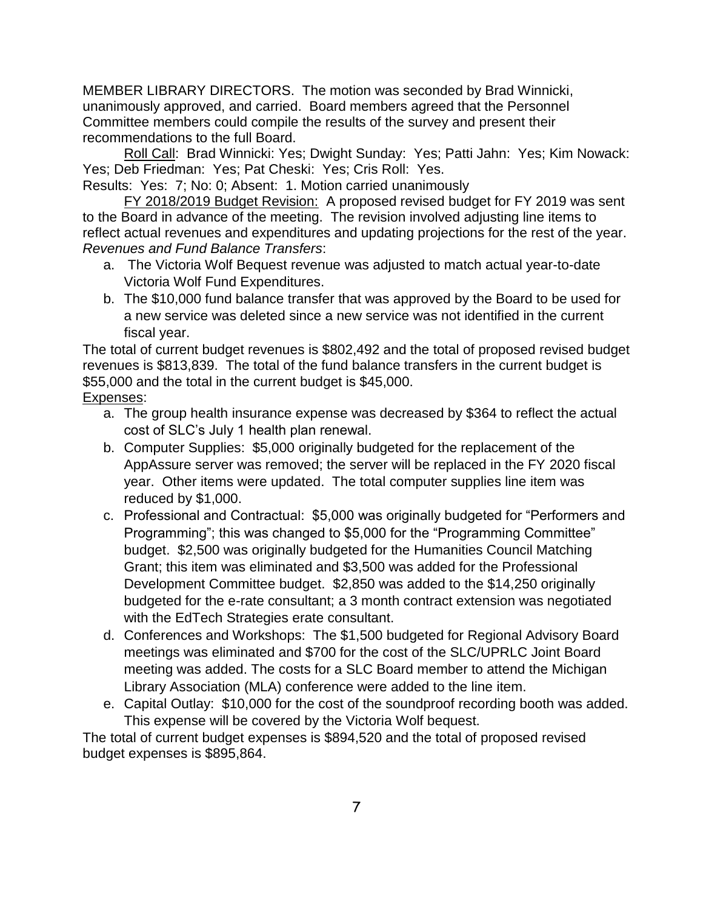MEMBER LIBRARY DIRECTORS. The motion was seconded by Brad Winnicki, unanimously approved, and carried. Board members agreed that the Personnel Committee members could compile the results of the survey and present their recommendations to the full Board.

Roll Call: Brad Winnicki: Yes; Dwight Sunday: Yes; Patti Jahn: Yes; Kim Nowack: Yes; Deb Friedman: Yes; Pat Cheski: Yes; Cris Roll: Yes.

Results: Yes: 7; No: 0; Absent: 1. Motion carried unanimously

FY 2018/2019 Budget Revision: A proposed revised budget for FY 2019 was sent to the Board in advance of the meeting. The revision involved adjusting line items to reflect actual revenues and expenditures and updating projections for the rest of the year. *Revenues and Fund Balance Transfers*:

- a. The Victoria Wolf Bequest revenue was adjusted to match actual year-to-date Victoria Wolf Fund Expenditures.
- b. The \$10,000 fund balance transfer that was approved by the Board to be used for a new service was deleted since a new service was not identified in the current fiscal year.

The total of current budget revenues is \$802,492 and the total of proposed revised budget revenues is \$813,839. The total of the fund balance transfers in the current budget is \$55,000 and the total in the current budget is \$45,000. Expenses:

- a. The group health insurance expense was decreased by \$364 to reflect the actual cost of SLC's July 1 health plan renewal.
- b. Computer Supplies: \$5,000 originally budgeted for the replacement of the AppAssure server was removed; the server will be replaced in the FY 2020 fiscal year. Other items were updated. The total computer supplies line item was reduced by \$1,000.
- c. Professional and Contractual: \$5,000 was originally budgeted for "Performers and Programming"; this was changed to \$5,000 for the "Programming Committee" budget. \$2,500 was originally budgeted for the Humanities Council Matching Grant; this item was eliminated and \$3,500 was added for the Professional Development Committee budget. \$2,850 was added to the \$14,250 originally budgeted for the e-rate consultant; a 3 month contract extension was negotiated with the EdTech Strategies erate consultant.
- d. Conferences and Workshops: The \$1,500 budgeted for Regional Advisory Board meetings was eliminated and \$700 for the cost of the SLC/UPRLC Joint Board meeting was added. The costs for a SLC Board member to attend the Michigan Library Association (MLA) conference were added to the line item.
- e. Capital Outlay: \$10,000 for the cost of the soundproof recording booth was added. This expense will be covered by the Victoria Wolf bequest.

The total of current budget expenses is \$894,520 and the total of proposed revised budget expenses is \$895,864.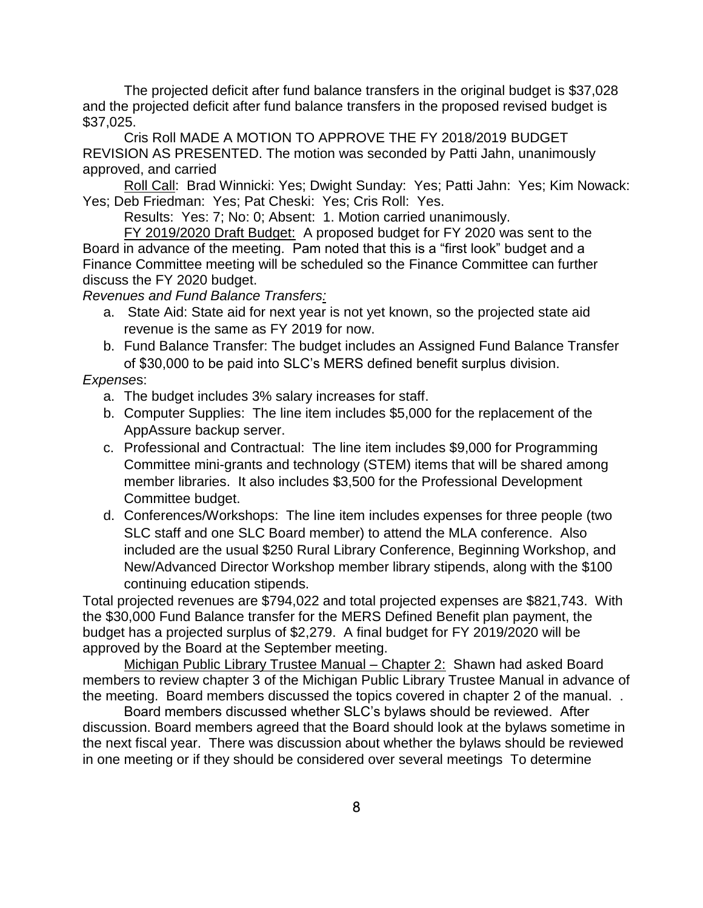The projected deficit after fund balance transfers in the original budget is \$37,028 and the projected deficit after fund balance transfers in the proposed revised budget is \$37,025.

Cris Roll MADE A MOTION TO APPROVE THE FY 2018/2019 BUDGET REVISION AS PRESENTED. The motion was seconded by Patti Jahn, unanimously approved, and carried

Roll Call: Brad Winnicki: Yes; Dwight Sunday: Yes; Patti Jahn: Yes; Kim Nowack: Yes; Deb Friedman: Yes; Pat Cheski: Yes; Cris Roll: Yes.

Results: Yes: 7; No: 0; Absent: 1. Motion carried unanimously.

FY 2019/2020 Draft Budget: A proposed budget for FY 2020 was sent to the Board in advance of the meeting. Pam noted that this is a "first look" budget and a Finance Committee meeting will be scheduled so the Finance Committee can further discuss the FY 2020 budget.

*Revenues and Fund Balance Transfers:* 

- a. State Aid: State aid for next year is not yet known, so the projected state aid revenue is the same as FY 2019 for now.
- b. Fund Balance Transfer: The budget includes an Assigned Fund Balance Transfer of \$30,000 to be paid into SLC's MERS defined benefit surplus division.

#### *Expense*s:

- a. The budget includes 3% salary increases for staff.
- b. Computer Supplies: The line item includes \$5,000 for the replacement of the AppAssure backup server.
- c. Professional and Contractual: The line item includes \$9,000 for Programming Committee mini-grants and technology (STEM) items that will be shared among member libraries. It also includes \$3,500 for the Professional Development Committee budget.
- d. Conferences/Workshops: The line item includes expenses for three people (two SLC staff and one SLC Board member) to attend the MLA conference. Also included are the usual \$250 Rural Library Conference, Beginning Workshop, and New/Advanced Director Workshop member library stipends, along with the \$100 continuing education stipends.

Total projected revenues are \$794,022 and total projected expenses are \$821,743. With the \$30,000 Fund Balance transfer for the MERS Defined Benefit plan payment, the budget has a projected surplus of \$2,279. A final budget for FY 2019/2020 will be approved by the Board at the September meeting.

Michigan Public Library Trustee Manual – Chapter 2: Shawn had asked Board members to review chapter 3 of the Michigan Public Library Trustee Manual in advance of the meeting. Board members discussed the topics covered in chapter 2 of the manual. .

Board members discussed whether SLC's bylaws should be reviewed. After discussion. Board members agreed that the Board should look at the bylaws sometime in the next fiscal year. There was discussion about whether the bylaws should be reviewed in one meeting or if they should be considered over several meetings To determine